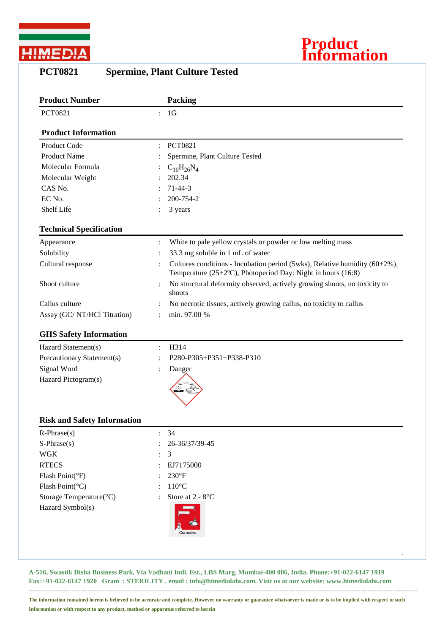



| <b>Product Number</b>          | <b>Packing</b>                                                                                                                                          |
|--------------------------------|---------------------------------------------------------------------------------------------------------------------------------------------------------|
| <b>PCT0821</b>                 | 1 <sub>G</sub><br>$\mathcal{L}$                                                                                                                         |
| <b>Product Information</b>     |                                                                                                                                                         |
| Product Code                   | <b>PCT0821</b>                                                                                                                                          |
| <b>Product Name</b>            | Spermine, Plant Culture Tested                                                                                                                          |
| Molecular Formula              | $C_{10}H_{26}N_4$                                                                                                                                       |
| Molecular Weight               | 202.34                                                                                                                                                  |
| CAS No.                        | $71 - 44 - 3$                                                                                                                                           |
| EC No.                         | 200-754-2                                                                                                                                               |
| Shelf Life                     | 3 years                                                                                                                                                 |
| <b>Technical Specification</b> |                                                                                                                                                         |
| Appearance                     | White to pale yellow crystals or powder or low melting mass<br>$\ddot{\cdot}$                                                                           |
| Solubility                     | 33.3 mg soluble in 1 mL of water                                                                                                                        |
| Cultural response              | Cultures conditions - Incubation period (5wks), Relative humidity ( $60\pm2\%$ ),<br>Temperature ( $25\pm2$ °C), Photoperiod Day: Night in hours (16:8) |
| Shoot culture                  | No structural deformity observed, actively growing shoots, no toxicity to<br>shoots                                                                     |
| Callus culture                 | No necrotic tissues, actively growing callus, no toxicity to callus                                                                                     |
| Assay (GC/NT/HCl Titration)    | min. 97.00 %                                                                                                                                            |
| <b>GHS Safety Information</b>  |                                                                                                                                                         |
| Hazard Statement(s)            | H314                                                                                                                                                    |
| Precautionary Statement(s)     | P280-P305+P351+P338-P310                                                                                                                                |
| Signal Word                    | Danger                                                                                                                                                  |
| Hazard Pictogram(s)            |                                                                                                                                                         |

## **PCT0821 Spermine, Plant Culture Tested**

## **Risk and Safety Information**

| $R-Phrase(s)$                        | : 34                                                    |
|--------------------------------------|---------------------------------------------------------|
| $S-Phrase(s)$                        | 26-36/37/39-45<br>$\ddot{\cdot}$                        |
| <b>WGK</b>                           | $\therefore$ 3                                          |
| <b>RTECS</b>                         | : EJ7175000                                             |
| Flash Point(°F)                      | $: 230^{\circ}F$                                        |
| Flash Point( ${}^{\circ}$ C)         | $110^{\circ}$ C<br>$\ddot{\phantom{0}}$                 |
| Storage Temperature( ${}^{\circ}$ C) | Store at $2 - 8$ <sup>o</sup> C<br>$\ddot{\phantom{a}}$ |
| Hazard Symbol(s)                     | È.<br>Corrosive                                         |
|                                      |                                                         |
|                                      | $\cdot$                                                 |

**A-516, Swastik Disha Business Park, Via Vadhani Indl. Est., LBS Marg, Mumbai-400 086, India. Phone:+91-022-6147 1919 Fax:+91-022-6147 1920 Gram : STERILITY . email : info@himedialabs.com. Visit us at our website: www.himedialabs.com**

**---------------------------------------------------------------------------------------------------------------------------------------------------------------------------- The information contained herein is believed to be accurate and complete. However no warranty or guarantee whatsoever is made or is to be implied with respect to such Information or with respect to any product, method or apparatus referred to herein**